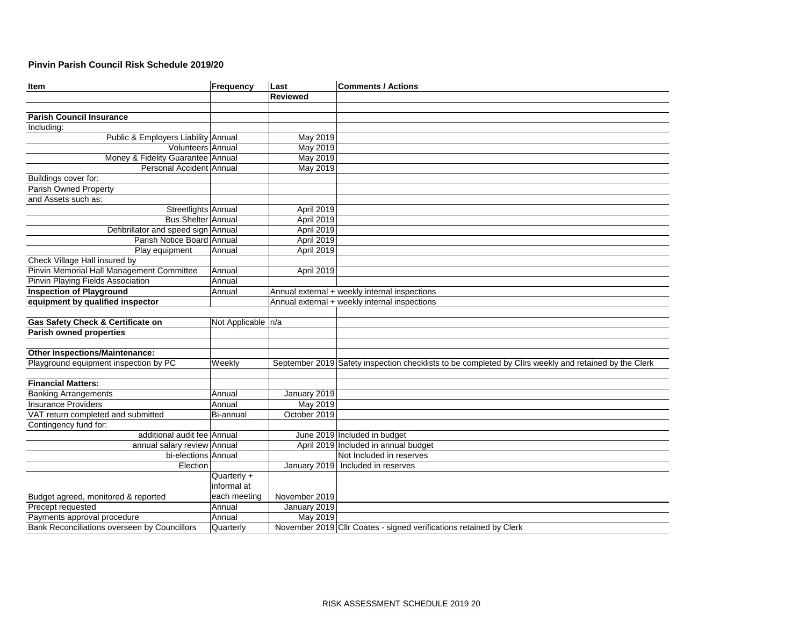## **Pinvin Parish Council Risk Schedule 2019/20**

| Item                                         | Frequency            | Last            | <b>Comments / Actions</b>                                                                             |
|----------------------------------------------|----------------------|-----------------|-------------------------------------------------------------------------------------------------------|
|                                              |                      | <b>Reviewed</b> |                                                                                                       |
|                                              |                      |                 |                                                                                                       |
| <b>Parish Council Insurance</b>              |                      |                 |                                                                                                       |
| Including:                                   |                      |                 |                                                                                                       |
| Public & Employers Liability Annual          |                      | May 2019        |                                                                                                       |
| Volunteers Annual                            |                      | May 2019        |                                                                                                       |
| Money & Fidelity Guarantee Annual            |                      | May 2019        |                                                                                                       |
| Personal Accident Annual                     |                      | May 2019        |                                                                                                       |
| Buildings cover for:                         |                      |                 |                                                                                                       |
| Parish Owned Property                        |                      |                 |                                                                                                       |
| and Assets such as:                          |                      |                 |                                                                                                       |
| Streetlights Annual                          |                      | April 2019      |                                                                                                       |
| Bus Shelter Annual                           |                      | April 2019      |                                                                                                       |
| Defibrillator and speed sign Annual          |                      | April 2019      |                                                                                                       |
| Parish Notice Board Annual                   |                      | April 2019      |                                                                                                       |
| Play equipment                               | Annual               | April 2019      |                                                                                                       |
| Check Village Hall insured by                |                      |                 |                                                                                                       |
| Pinvin Memorial Hall Management Committee    | Annual               | April 2019      |                                                                                                       |
| Pinvin Playing Fields Association            | Annual               |                 |                                                                                                       |
| <b>Inspection of Playground</b>              | Annual               |                 | Annual external + weekly internal inspections                                                         |
| equipment by qualified inspector             |                      |                 | Annual external + weekly internal inspections                                                         |
|                                              |                      |                 |                                                                                                       |
| <b>Gas Safety Check &amp; Certificate on</b> | Not Applicable   n/a |                 |                                                                                                       |
| <b>Parish owned properties</b>               |                      |                 |                                                                                                       |
|                                              |                      |                 |                                                                                                       |
| <b>Other Inspections/Maintenance:</b>        |                      |                 |                                                                                                       |
| Playground equipment inspection by PC        | Weekly               |                 | September 2019 Safety inspection checklists to be completed by Cllrs weekly and retained by the Clerk |
|                                              |                      |                 |                                                                                                       |
| <b>Financial Matters:</b>                    |                      |                 |                                                                                                       |
| <b>Banking Arrangements</b>                  | Annual               | January 2019    |                                                                                                       |
| <b>Insurance Providers</b>                   | Annual               | May 2019        |                                                                                                       |
| VAT return completed and submitted           | Bi-annual            | October 2019    |                                                                                                       |
| Contingency fund for:                        |                      |                 |                                                                                                       |
| additional audit fee Annual                  |                      |                 | June 2019 Included in budget                                                                          |
| annual salary review Annual                  |                      |                 | April 2019 Included in annual budget                                                                  |
| bi-elections Annual                          |                      |                 | Not Included in reserves                                                                              |
| Election                                     |                      |                 | January 2019 Included in reserves                                                                     |
|                                              | Quarterly +          |                 |                                                                                                       |
|                                              | informal at          |                 |                                                                                                       |
| Budget agreed, monitored & reported          | each meeting         | November 2019   |                                                                                                       |
| Precept requested                            | Annual               | January 2019    |                                                                                                       |
| Payments approval procedure                  | Annual               | May 2019        |                                                                                                       |
| Bank Reconciliations overseen by Councillors | Quarterly            |                 | November 2019 Cllr Coates - signed verifications retained by Clerk                                    |